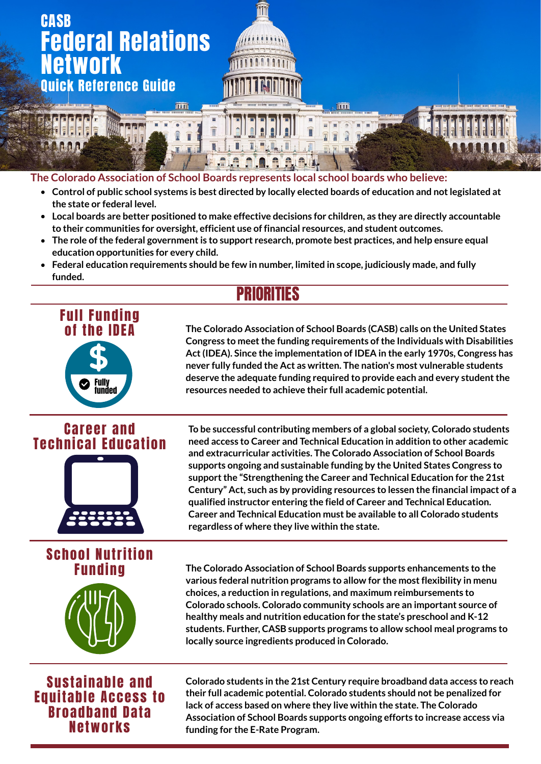## Quick Reference Guide Federal Relations Network **CASB**



### **The Colorado Association of School Boards represents local school boards who believe:**

- Control of public school systems is best directed by locally elected boards of education and not legislated at **the state or federal level.**
- **Local boards are better positioned to make effective decisions for children, as they are directly accountable to their communities for oversight, efficient use of financial resources, and student outcomes.**
- **The role ofthe federal governmentis to support research, promote best practices, and help ensure equal education opportunities for every child.**
- **Federal education requirements should be few in number, limited in scope, judiciously made, and fully funded.**

## PRIORITIES



#### **The Colorado Association of School Boards (CASB) calls on the United States Congress to meetthe funding requirements of the Individuals with Disabilities Act(IDEA). Since the implementation of IDEA in the early 1970s, Congress has never fully funded the Act as written. The nation's most vulnerable students deserve the adequate funding required to provide each and every studentthe resources needed to achieve their full academic potential.**

Career and Technical Education **To be successful contributing members of a global society, Colorado students need access to Career and Technical Education in addition to other academic and extracurricular activities. The Colorado Association of School Boards**

**supports ongoing and sustainable funding by the United States Congress to supportthe "Strengthening the Career and Technical Education for the 21st Century" Act, such as by providing resources to lessen the financial impact of a qualified instructor entering the field of Career and Technical Education. Career and Technical Education must be available to all Colorado students regardless of where they live within the state.**

**The Colorado Association of School Boards supports enhancements to the various federal nutrition programs to allow for the mostflexibility in menu choices, a reduction in regulations, and maximum reimbursements to Colorado schools. Colorado community schools are an important source of healthy meals and nutrition education for the state's preschool and K-12 students. Further, CASB supports programs to allow school meal programs to locally source ingredients produced in Colorado.**

Sustainable and Equitable Access to Broadband Data Networks

School Nutrition Funding

> **Colorado students in the 21st Century require broadband data access to reach their full academic potential. Colorado students should not be penalized for lack of access based on where they live within the state. The Colorado Association of School Boards supports ongoing efforts to increase access via funding for the E-Rate Program.**

> > **01**